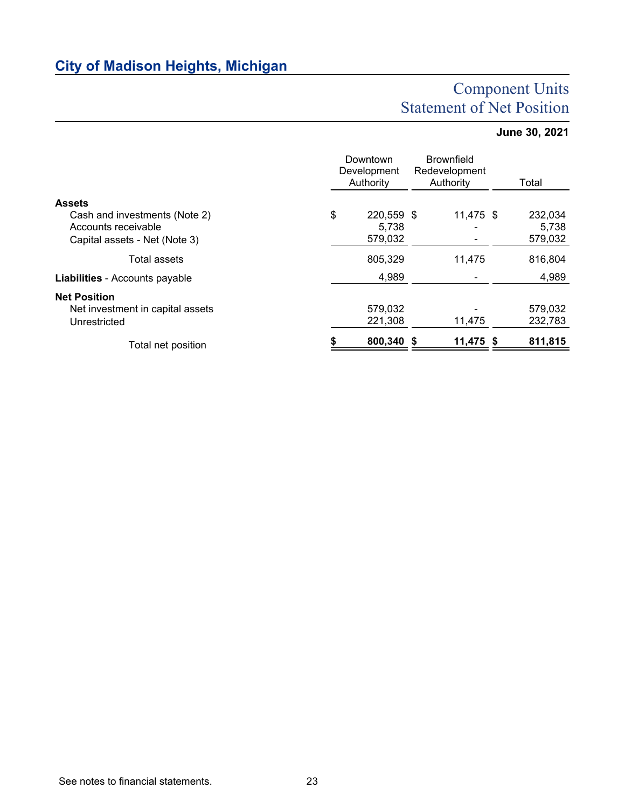# **City of Madison Heights, Michigan**

# Component Units Statement of Net Position

## **June 30, 2021**

|                                                                                       | Downtown<br>Development<br>Authority |                                | <b>Brownfield</b><br>Redevelopment<br>Authority |             | Total                       |
|---------------------------------------------------------------------------------------|--------------------------------------|--------------------------------|-------------------------------------------------|-------------|-----------------------------|
| <b>Assets</b>                                                                         |                                      |                                |                                                 |             |                             |
| Cash and investments (Note 2)<br>Accounts receivable<br>Capital assets - Net (Note 3) | \$                                   | 220,559 \$<br>5,738<br>579,032 |                                                 | $11,475$ \$ | 232,034<br>5,738<br>579,032 |
|                                                                                       |                                      |                                |                                                 |             |                             |
| Total assets                                                                          |                                      | 805,329                        |                                                 | 11,475      | 816,804                     |
| <b>Liabilities</b> - Accounts payable                                                 |                                      | 4,989                          |                                                 |             | 4,989                       |
| <b>Net Position</b><br>Net investment in capital assets<br>Unrestricted               |                                      | 579,032<br>221,308             |                                                 | 11,475      | 579,032<br>232,783          |
| Total net position                                                                    |                                      | 800,340 \$                     |                                                 | 11,475 \$   | 811,815                     |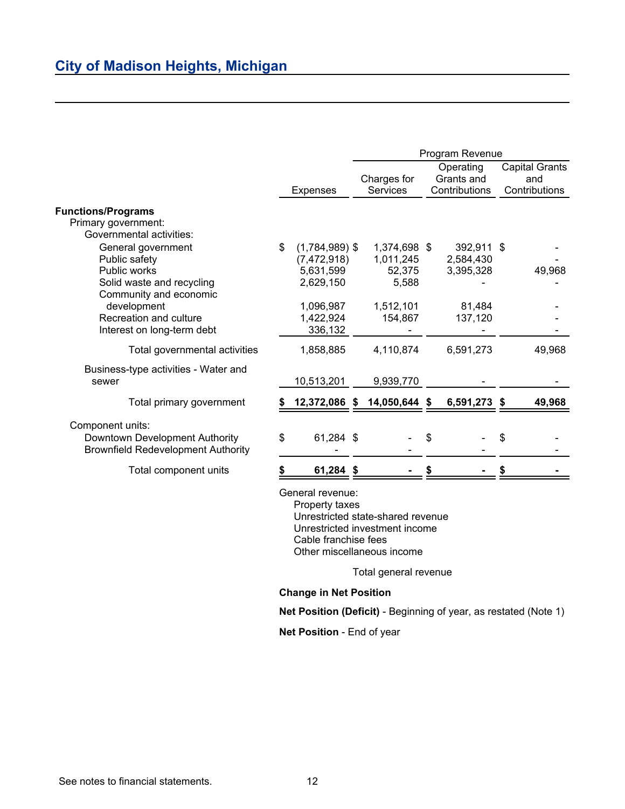|                                           |                                    | Program Revenue |                 |   |                         |    |                              |
|-------------------------------------------|------------------------------------|-----------------|-----------------|---|-------------------------|----|------------------------------|
|                                           |                                    |                 | Charges for     |   | Operating<br>Grants and |    | <b>Capital Grants</b><br>and |
|                                           | <b>Expenses</b>                    |                 | <b>Services</b> |   | Contributions           |    | Contributions                |
| <b>Functions/Programs</b>                 |                                    |                 |                 |   |                         |    |                              |
| Primary government:                       |                                    |                 |                 |   |                         |    |                              |
| Governmental activities:                  |                                    |                 |                 |   |                         |    |                              |
| General government                        | \$<br>$(1,784,989)$ \$             |                 | 1,374,698 \$    |   | 392,911 \$              |    |                              |
| Public safety                             | (7,472,918)                        |                 | 1,011,245       |   | 2,584,430               |    |                              |
| Public works                              | 5,631,599                          |                 | 52,375          |   | 3,395,328               |    | 49,968                       |
| Solid waste and recycling                 | 2,629,150                          |                 | 5,588           |   |                         |    |                              |
| Community and economic                    |                                    |                 |                 |   |                         |    |                              |
| development                               | 1,096,987                          |                 | 1,512,101       |   | 81,484                  |    |                              |
| Recreation and culture                    | 1,422,924                          |                 | 154,867         |   | 137,120                 |    |                              |
| Interest on long-term debt                | 336,132                            |                 |                 |   |                         |    |                              |
| Total governmental activities             | 1,858,885                          |                 | 4,110,874       |   | 6,591,273               |    | 49,968                       |
| Business-type activities - Water and      |                                    |                 |                 |   |                         |    |                              |
| sewer                                     | 10,513,201                         |                 | 9,939,770       |   |                         |    |                              |
| Total primary government                  | 12,372,086 \$                      |                 | 14,050,644 \$   |   | 6,591,273 \$            |    | 49,968                       |
| Component units:                          |                                    |                 |                 |   |                         |    |                              |
| Downtown Development Authority            | \$<br>61,284 \$                    |                 |                 | S |                         | \$ |                              |
| <b>Brownfield Redevelopment Authority</b> |                                    |                 |                 |   |                         |    |                              |
| Total component units                     | 61,284 \$                          |                 |                 |   |                         |    |                              |
|                                           | General revenue:<br>Property taxes |                 |                 |   |                         |    |                              |

Property taxes Unrestricted state-shared revenue Unrestricted investment income Cable franchise fees Other miscellaneous income

Total general revenue

#### **Change in Net Position**

**Net Position (Deficit)** - Beginning of year, as restated (Note 1)

**Net Position** - End of year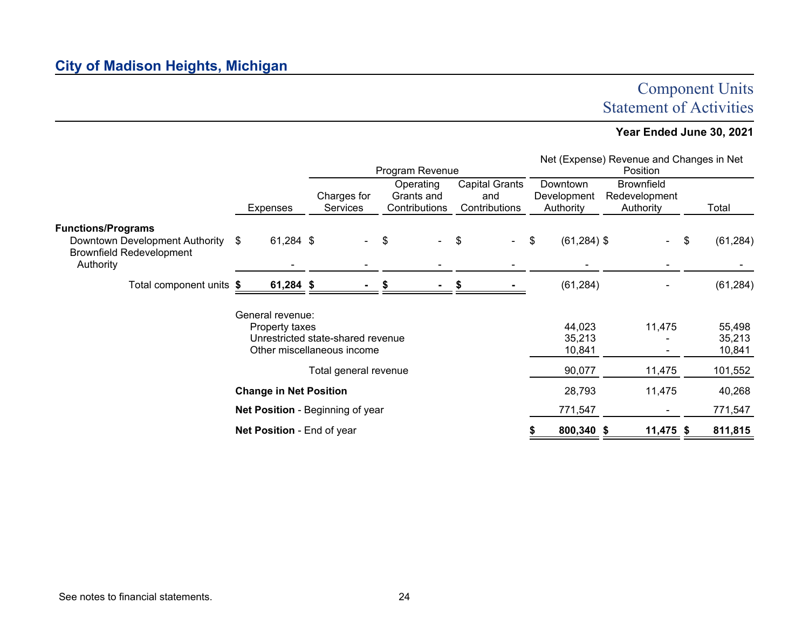# Component Units Statement of Activities

### **Year Ended June 30, 2021**

|                                                                                                             | Program Revenue                          |                                |                                          |        |                                               |           |                                      | Net (Expense) Revenue and Changes in Net<br>Position |                            |
|-------------------------------------------------------------------------------------------------------------|------------------------------------------|--------------------------------|------------------------------------------|--------|-----------------------------------------------|-----------|--------------------------------------|------------------------------------------------------|----------------------------|
|                                                                                                             | <b>Expenses</b>                          | Charges for<br><b>Services</b> | Operating<br>Grants and<br>Contributions |        | <b>Capital Grants</b><br>and<br>Contributions |           | Downtown<br>Development<br>Authority | <b>Brownfield</b><br>Redevelopment<br>Authority      | Total                      |
| <b>Functions/Programs</b><br>Downtown Development Authority<br><b>Brownfield Redevelopment</b><br>Authority | 61,284 \$<br>\$                          | $\sim$                         | \$                                       | $\sim$ | \$                                            | $\sim 10$ | $(61, 284)$ \$<br>\$                 | $\sim$                                               | (61, 284)<br>\$            |
|                                                                                                             | Total component units<br>61,284 \$<br>S. |                                |                                          |        |                                               | (61, 284) |                                      | (61, 284)                                            |                            |
| General revenue:<br>Property taxes<br>Unrestricted state-shared revenue<br>Other miscellaneous income       |                                          |                                |                                          |        |                                               |           | 44,023<br>35,213<br>10,841           | 11,475                                               | 55,498<br>35,213<br>10,841 |
|                                                                                                             |                                          | Total general revenue          |                                          |        |                                               |           | 90,077                               | 11,475                                               | 101,552                    |
| <b>Change in Net Position</b>                                                                               |                                          |                                |                                          |        |                                               | 28,793    | 11,475                               | 40,268                                               |                            |
|                                                                                                             | Net Position - Beginning of year         |                                |                                          |        |                                               | 771,547   | $\blacksquare$                       | 771,547                                              |                            |
|                                                                                                             | Net Position - End of year               |                                |                                          |        |                                               |           | 800,340 \$                           | 11,475 \$                                            | 811,815                    |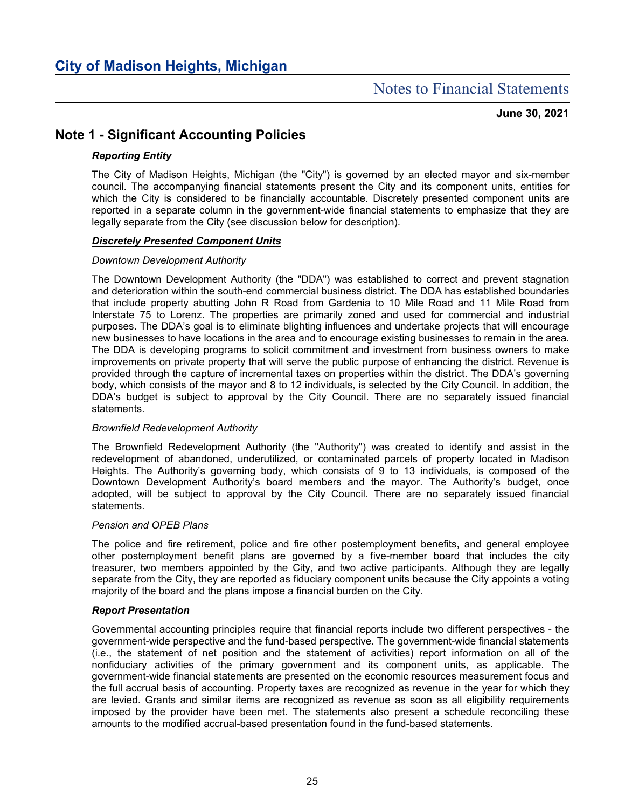## Notes to Financial Statements

**June 30, 2021**

### **Note 1 - Significant Accounting Policies**

#### *Reporting Entity*

The City of Madison Heights, Michigan (the "City") is governed by an elected mayor and six-member council. The accompanying financial statements present the City and its component units, entities for which the City is considered to be financially accountable. Discretely presented component units are reported in a separate column in the government-wide financial statements to emphasize that they are legally separate from the City (see discussion below for description).

#### *Discretely Presented Component Units*

#### *Downtown Development Authority*

The Downtown Development Authority (the "DDA") was established to correct and prevent stagnation and deterioration within the south-end commercial business district. The DDA has established boundaries that include property abutting John R Road from Gardenia to 10 Mile Road and 11 Mile Road from Interstate 75 to Lorenz. The properties are primarily zoned and used for commercial and industrial purposes. The DDA's goal is to eliminate blighting influences and undertake projects that will encourage new businesses to have locations in the area and to encourage existing businesses to remain in the area. The DDA is developing programs to solicit commitment and investment from business owners to make improvements on private property that will serve the public purpose of enhancing the district. Revenue is provided through the capture of incremental taxes on properties within the district. The DDA's governing body, which consists of the mayor and 8 to 12 individuals, is selected by the City Council. In addition, the DDA's budget is subject to approval by the City Council. There are no separately issued financial statements.

#### *Brownfield Redevelopment Authority*

The Brownfield Redevelopment Authority (the "Authority") was created to identify and assist in the redevelopment of abandoned, underutilized, or contaminated parcels of property located in Madison Heights. The Authority's governing body, which consists of 9 to 13 individuals, is composed of the Downtown Development Authority's board members and the mayor. The Authority's budget, once adopted, will be subject to approval by the City Council. There are no separately issued financial statements.

#### *Pension and OPEB Plans*

The police and fire retirement, police and fire other postemployment benefits, and general employee other postemployment benefit plans are governed by a five-member board that includes the city treasurer, two members appointed by the City, and two active participants. Although they are legally separate from the City, they are reported as fiduciary component units because the City appoints a voting majority of the board and the plans impose a financial burden on the City.

#### *Report Presentation*

Governmental accounting principles require that financial reports include two different perspectives - the government-wide perspective and the fund-based perspective. The government-wide financial statements (i.e., the statement of net position and the statement of activities) report information on all of the nonfiduciary activities of the primary government and its component units, as applicable. The government-wide financial statements are presented on the economic resources measurement focus and the full accrual basis of accounting. Property taxes are recognized as revenue in the year for which they are levied. Grants and similar items are recognized as revenue as soon as all eligibility requirements imposed by the provider have been met. The statements also present a schedule reconciling these amounts to the modified accrual-based presentation found in the fund-based statements.